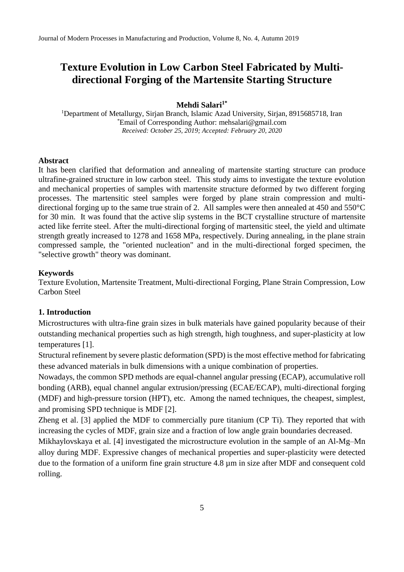# **Texture Evolution in Low Carbon Steel Fabricated by Multidirectional Forging of the Martensite Starting Structure**

#### **Mehdi Salari1\***

<sup>1</sup>Department of Metallurgy, Sirjan Branch, Islamic Azad University, Sirjan, 8915685718, Iran \*Email of Corresponding Author: mehsalari@gmail.com *Received: October 25, 2019; Accepted: February 20, 2020*

#### **Abstract**

It has been clarified that deformation and annealing of martensite starting structure can produce ultrafine-grained structure in low carbon steel. This study aims to investigate the texture evolution and mechanical properties of samples with martensite structure deformed by two different forging processes. The martensitic steel samples were forged by plane strain compression and multidirectional forging up to the same true strain of 2. All samples were then annealed at 450 and 550°C for 30 min. It was found that the active slip systems in the BCT crystalline structure of martensite acted like ferrite steel. After the multi-directional forging of martensitic steel, the yield and ultimate strength greatly increased to 1278 and 1658 MPa, respectively. During annealing, in the plane strain compressed sample, the "oriented nucleation" and in the multi-directional forged specimen, the "selective growth" theory was dominant.

## **Keywords**

Texture Evolution, Martensite Treatment, Multi-directional Forging, Plane Strain Compression, Low Carbon Steel

## **1. Introduction**

Microstructures with ultra-fine grain sizes in bulk materials have gained popularity because of their outstanding mechanical properties such as high strength, high toughness, and super-plasticity at low temperatures [1].

Structural refinement by severe plastic deformation (SPD) is the most effective method for fabricating these advanced materials in bulk dimensions with a unique combination of properties.

Nowadays, the common SPD methods are equal-channel angular pressing (ECAP), accumulative roll bonding (ARB), equal channel angular extrusion/pressing (ECAE/ECAP), multi-directional forging (MDF) and high-pressure torsion (HPT), etc. Among the named techniques, the cheapest, simplest, and promising SPD technique is MDF [2].

Zheng et al. [3] applied the MDF to commercially pure titanium (CP Ti). They reported that with increasing the cycles of MDF, grain size and a fraction of low angle grain boundaries decreased.

Mikhaylovskaya et al. [4] investigated the microstructure evolution in the sample of an Al-Mg–Mn alloy during MDF. Expressive changes of mechanical properties and super-plasticity were detected due to the formation of a uniform fine grain structure 4.8 µm in size after MDF and consequent cold rolling.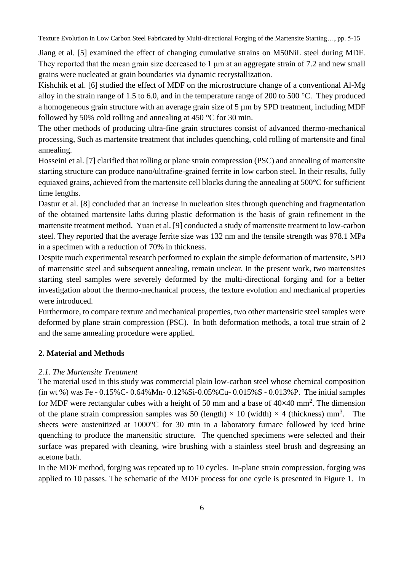Texture Evolution in Low Carbon Steel Fabricated by Multi-directional Forging of the Martensite Starting…, pp. 5-15

Jiang et al. [5] examined the effect of changing cumulative strains on M50NiL steel during MDF. They reported that the mean grain size decreased to 1 um at an aggregate strain of 7.2 and new small grains were nucleated at grain boundaries via dynamic recrystallization.

Kishchik et al. [6] studied the effect of MDF on the microstructure change of a conventional Al-Mg alloy in the strain range of 1.5 to 6.0, and in the temperature range of 200 to 500 °C. They produced a homogeneous grain structure with an average grain size of 5  $\mu$ m by SPD treatment, including MDF followed by 50% cold rolling and annealing at 450 °C for 30 min.

The other methods of producing ultra-fine grain structures consist of advanced thermo-mechanical processing, Such as martensite treatment that includes quenching, cold rolling of martensite and final annealing.

Hosseini et al. [7] clarified that rolling or plane strain compression (PSC) and annealing of martensite starting structure can produce nano/ultrafine-grained ferrite in low carbon steel. In their results, fully equiaxed grains, achieved from the martensite cell blocks during the annealing at 500°C for sufficient time lengths.

Dastur et al. [8] concluded that an increase in nucleation sites through quenching and fragmentation of the obtained martensite laths during plastic deformation is the basis of grain refinement in the martensite treatment method. Yuan et al. [9] conducted a study of martensite treatment to low-carbon steel. They reported that the average ferrite size was 132 nm and the tensile strength was 978.1 MPa in a specimen with a reduction of 70% in thickness.

Despite much experimental research performed to explain the simple deformation of martensite, SPD of martensitic steel and subsequent annealing, remain unclear. In the present work, two martensites starting steel samples were severely deformed by the multi-directional forging and for a better investigation about the thermo-mechanical process, the texture evolution and mechanical properties were introduced.

Furthermore, to compare texture and mechanical properties, two other martensitic steel samples were deformed by plane strain compression (PSC). In both deformation methods, a total true strain of 2 and the same annealing procedure were applied.

## **2. Material and Methods**

# *2.1. The Martensite Treatment*

The material used in this study was commercial plain low-carbon steel whose chemical composition (in wt %) was Fe - 0.15%C- 0.64%Mn- 0.12%Si-0.05%Cu- 0.015%S - 0.013%P. The initial samples for MDF were rectangular cubes with a height of 50 mm and a base of  $40\times40$  mm<sup>2</sup>. The dimension of the plane strain compression samples was 50 (length)  $\times$  10 (width)  $\times$  4 (thickness) mm<sup>3</sup>. The sheets were austenitized at 1000°C for 30 min in a laboratory furnace followed by iced brine quenching to produce the martensitic structure. The quenched specimens were selected and their surface was prepared with cleaning, wire brushing with a stainless steel brush and degreasing an acetone bath.

In the MDF method, forging was repeated up to 10 cycles. In-plane strain compression, forging was applied to 10 passes. The schematic of the MDF process for one cycle is presented in Figure 1. In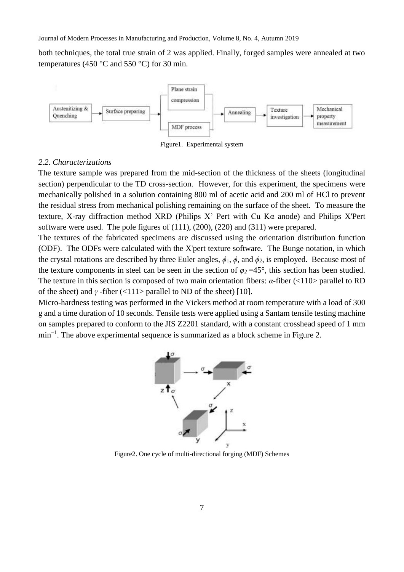both techniques, the total true strain of 2 was applied. Finally, forged samples were annealed at two temperatures (450  $\degree$ C and 550  $\degree$ C) for 30 min.



Figure1. Experimental system

#### *2.2. Characterizations*

The texture sample was prepared from the mid-section of the thickness of the sheets (longitudinal section) perpendicular to the TD cross-section. However, for this experiment, the specimens were mechanically polished in a solution containing 800 ml of acetic acid and 200 ml of HCl to prevent the residual stress from mechanical polishing remaining on the surface of the sheet. To measure the texture, X-ray diffraction method XRD (Philips X' Pert with Cu Kα anode) and Philips X'Pert software were used. The pole figures of (111), (200), (220) and (311) were prepared.

The textures of the fabricated specimens are discussed using the orientation distribution function (ODF). The ODFs were calculated with the X'pert texture software. The Bunge notation, in which the crystal rotations are described by three Euler angles,  $\phi_1$ ,  $\phi$ , and  $\phi_2$ , is employed. Because most of the texture components in steel can be seen in the section of  $\varphi_2 = 45^\circ$ , this section has been studied. The texture in this section is composed of two main orientation fibers: *α*-fiber (<110> parallel to RD of the sheet) and  $\gamma$  -fiber (<111> parallel to ND of the sheet) [10].

Micro-hardness testing was performed in the Vickers method at room temperature with a load of 300 g and a time duration of 10 seconds. Tensile tests were applied using a Santam tensile testing machine on samples prepared to conform to the JIS Z2201 standard, with a constant crosshead speed of 1 mm min<sup>-1</sup>. The above experimental sequence is summarized as a block scheme in Figure 2.



Figure2. One cycle of multi-directional forging (MDF) Schemes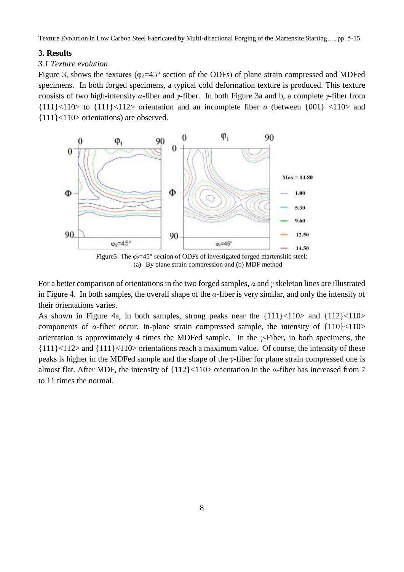Texture Evolution in Low Carbon Steel Fabricated by Multi-directional Forging of the Martensite Starting…, pp. 5-15

## **3. Results**

## *3.1 Texture evolution*

Figure 3, shows the textures ( $\varphi_2 = 45^\circ$  section of the ODFs) of plane strain compressed and MDFed specimens. In both forged specimens, a typical cold deformation texture is produced. This texture consists of two high-intensity *α*-fiber and *γ*-fiber. In both Figure 3a and b, a complete *γ*-fiber from  ${111}\times110>$  to  ${111}\times112>$  orientation and an incomplete fiber  $\alpha$  (between  ${001}\times110>$  and {111}<110> orientations) are observed.



(a) By plane strain compression and (b) MDF method

For a better comparison of orientations in the two forged samples, *α* and *γ* skeleton lines are illustrated in Figure 4. In both samples, the overall shape of the *α*-fiber is very similar, and only the intensity of their orientations varies.

As shown in Figure 4a, in both samples, strong peaks near the  $\{111\} < 110$  and  $\{112\} < 110$ components of  $\alpha$ -fiber occur. In-plane strain compressed sample, the intensity of  $\{110\}$  < 110> orientation is approximately 4 times the MDFed sample. In the *γ*-Fiber, in both specimens, the  ${111}\times112$  and  ${111}\times110$  orientations reach a maximum value. Of course, the intensity of these peaks is higher in the MDFed sample and the shape of the *γ*-fiber for plane strain compressed one is almost flat. After MDF, the intensity of {112}<110> orientation in the *α*-fiber has increased from 7 to 11 times the normal.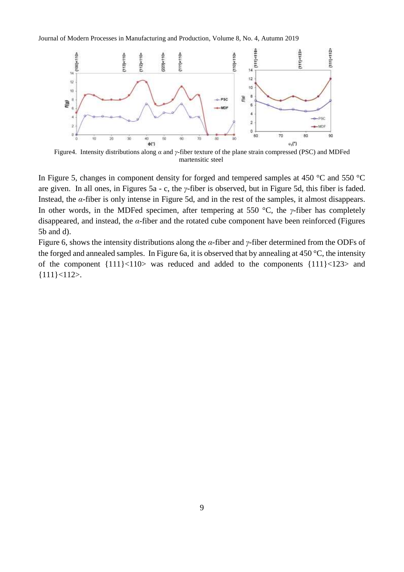Journal of Modern Processes in Manufacturing and Production, Volume 8, No. 4, Autumn 2019



Figure4. Intensity distributions along *α* and *γ*-fiber texture of the plane strain compressed (PSC) and MDFed martensitic steel

In Figure 5, changes in component density for forged and tempered samples at 450 °C and 550 °C are given. In all ones, in Figures 5a - c, the *γ*-fiber is observed, but in Figure 5d, this fiber is faded. Instead, the *α*-fiber is only intense in Figure 5d, and in the rest of the samples, it almost disappears. In other words, in the MDFed specimen, after tempering at 550 °C, the *γ*-fiber has completely disappeared, and instead, the *α*-fiber and the rotated cube component have been reinforced (Figures 5b and d).

Figure 6, shows the intensity distributions along the *α*-fiber and *γ*-fiber determined from the ODFs of the forged and annealed samples. In Figure 6a, it is observed that by annealing at 450 °C, the intensity of the component {111}<110> was reduced and added to the components {111}<123> and {111}<112>.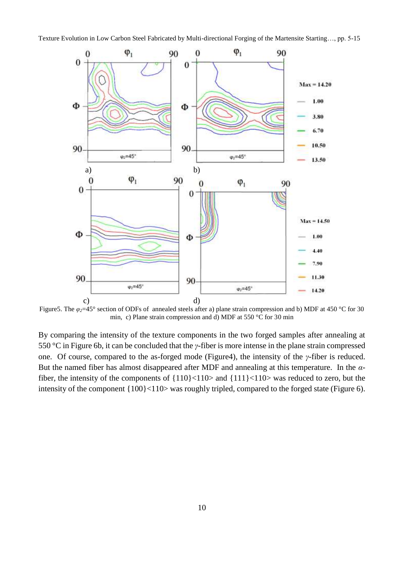

Figure5. The *φ2*=45° section of ODFs of annealed steels after a) plane strain compression and b) MDF at 450 °C for 30 min, c) Plane strain compression and d) MDF at 550 °C for 30 min

By comparing the intensity of the texture components in the two forged samples after annealing at 550 °C in Figure 6b, it can be concluded that the *γ*-fiber is more intense in the plane strain compressed one. Of course, compared to the as-forged mode (Figure4), the intensity of the *γ*-fiber is reduced. But the named fiber has almost disappeared after MDF and annealing at this temperature. In the *α*fiber, the intensity of the components of {110}<110> and {111}<110> was reduced to zero, but the intensity of the component {100}<110> was roughly tripled, compared to the forged state (Figure 6).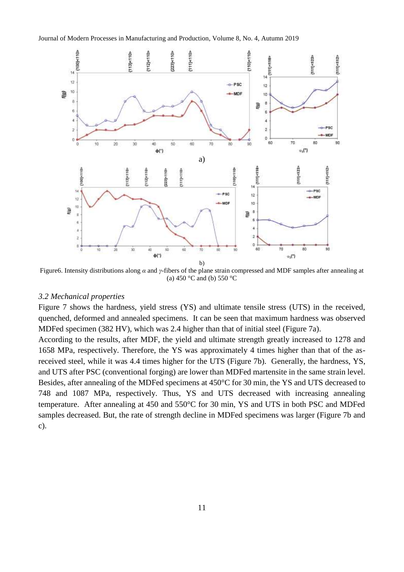

Figure6. Intensity distributions along *α* and *γ*-fibers of the plane strain compressed and MDF samples after annealing at (a) 450 °C and (b) 550 °C

#### *3.2 Mechanical properties*

Figure 7 shows the hardness, yield stress (YS) and ultimate tensile stress (UTS) in the received, quenched, deformed and annealed specimens. It can be seen that maximum hardness was observed MDFed specimen (382 HV), which was 2.4 higher than that of initial steel (Figure 7a).

According to the results, after MDF, the yield and ultimate strength greatly increased to 1278 and 1658 MPa, respectively. Therefore, the YS was approximately 4 times higher than that of the asreceived steel, while it was 4.4 times higher for the UTS (Figure 7b). Generally, the hardness, YS, and UTS after PSC (conventional forging) are lower than MDFed martensite in the same strain level. Besides, after annealing of the MDFed specimens at 450°C for 30 min, the YS and UTS decreased to 748 and 1087 MPa, respectively. Thus, YS and UTS decreased with increasing annealing temperature. After annealing at 450 and 550°C for 30 min, YS and UTS in both PSC and MDFed samples decreased. But, the rate of strength decline in MDFed specimens was larger (Figure 7b and c).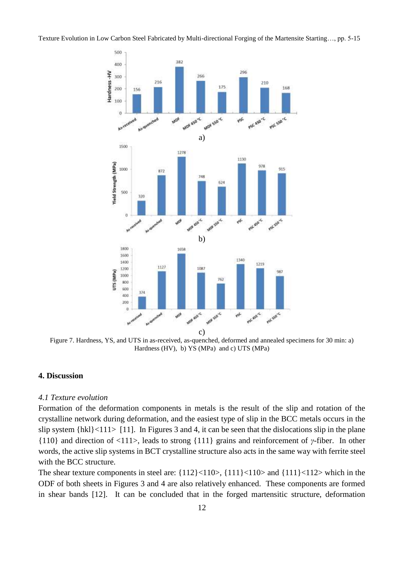

Figure 7. Hardness, YS, and UTS in as-received, as-quenched, deformed and annealed specimens for 30 min: a) Hardness (HV), b) YS (MPa) and c) UTS (MPa)

#### **4. Discussion**

#### *4.1 Texture evolution*

Formation of the deformation components in metals is the result of the slip and rotation of the crystalline network during deformation, and the easiest type of slip in the BCC metals occurs in the slip system  $\{hkl\}$  <111> [11]. In Figures 3 and 4, it can be seen that the dislocations slip in the plane {110} and direction of <111>, leads to strong {111} grains and reinforcement of *γ*-fiber. In other words, the active slip systems in BCT crystalline structure also acts in the same way with ferrite steel with the BCC structure.

The shear texture components in steel are:  $\{112\} < 110$ ,  $\{111\} < 110$  and  $\{111\} < 112$  which in the ODF of both sheets in Figures 3 and 4 are also relatively enhanced. These components are formed in shear bands [12]. It can be concluded that in the forged martensitic structure, deformation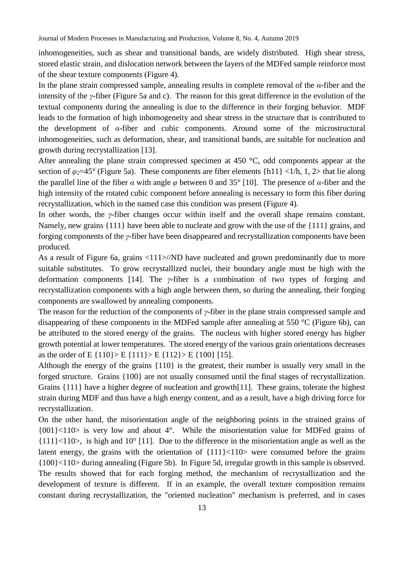inhomogeneities, such as shear and transitional bands, are widely distributed. High shear stress, stored elastic strain, and dislocation network between the layers of the MDFed sample reinforce most of the shear texture components (Figure 4).

In the plane strain compressed sample, annealing results in complete removal of the *α*-fiber and the intensity of the *γ*-fiber (Figure 5a and c). The reason for this great difference in the evolution of the textual components during the annealing is due to the difference in their forging behavior. MDF leads to the formation of high inhomogeneity and shear stress in the structure that is contributed to the development of *α*-fiber and cubic components. Around some of the microstructural inhomogeneities, such as deformation, shear, and transitional bands, are suitable for nucleation and growth during recrystallization [13].

After annealing the plane strain compressed specimen at 450 °C, odd components appear at the section of  $\varphi_2$ =45° (Figure 5a). These components are fiber elements {h11} <1/h, 1, 2> that lie along the parallel line of the fiber *α* with angle *φ* between 0 and 35° [10]. The presence of *α*-fiber and the high intensity of the rotated cubic component before annealing is necessary to form this fiber during recrystallization, which in the named case this condition was present (Figure 4).

In other words, the *γ*-fiber changes occur within itself and the overall shape remains constant. Namely, new grains {111} have been able to nucleate and grow with the use of the {111} grains, and forging components of the *γ*-fiber have been disappeared and recrystallization components have been produced.

As a result of Figure 6a, grains <111>//ND have nucleated and grown predominantly due to more suitable substitutes. To grow recrystallized nuclei, their boundary angle must be high with the deformation components [14]. The *γ*-fiber is a combination of two types of forging and recrystallization components with a high angle between them, so during the annealing, their forging components are swallowed by annealing components.

The reason for the reduction of the components of *γ*-fiber in the plane strain compressed sample and disappearing of these components in the MDFed sample after annealing at 550 °C (Figure 6b), can be attributed to the stored energy of the grains. The nucleus with higher stored energy has higher growth potential at lower temperatures. The stored energy of the various grain orientations decreases as the order of E {110} > E {111} > E {112} > E {100} [15].

Although the energy of the grains {110} is the greatest, their number is usually very small in the forged structure. Grains {100} are not usually consumed until the final stages of recrystallization. Grains {111} have a higher degree of nucleation and growth[11]. These grains, tolerate the highest strain during MDF and thus have a high energy content, and as a result, have a high driving force for recrystallization.

On the other hand, the misorientation angle of the neighboring points in the strained grains of  ${001}$  <110> is very low and about 4°. While the misorientation value for MDFed grains of {111}<110>, is high and 10° [11]. Due to the difference in the misorientation angle as well as the latent energy, the grains with the orientation of  ${111}\times110$  were consumed before the grains {100}<110> during annealing (Figure 5b). In Figure 5d, irregular growth in this sample is observed. The results showed that for each forging method, the mechanism of recrystallization and the development of texture is different. If in an example, the overall texture composition remains constant during recrystallization, the "oriented nucleation" mechanism is preferred, and in cases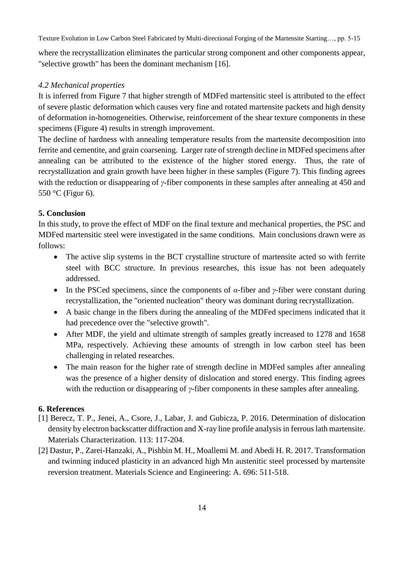Texture Evolution in Low Carbon Steel Fabricated by Multi-directional Forging of the Martensite Starting…, pp. 5-15

where the recrystallization eliminates the particular strong component and other components appear, "selective growth" has been the dominant mechanism [16].

# *4.2 Mechanical properties*

It is inferred from Figure 7 that higher strength of MDFed martensitic steel is attributed to the effect of severe plastic deformation which causes very fine and rotated martensite packets and high density of deformation in-homogeneities. Otherwise, reinforcement of the shear texture components in these specimens (Figure 4) results in strength improvement.

The decline of hardness with annealing temperature results from the martensite decomposition into ferrite and cementite, and grain coarsening. Larger rate of strength decline in MDFed specimens after annealing can be attributed to the existence of the higher stored energy. Thus, the rate of recrystallization and grain growth have been higher in these samples (Figure 7). This finding agrees with the reduction or disappearing of *γ*-fiber components in these samples after annealing at 450 and 550 °C (Figur 6).

# **5. Conclusion**

In this study, to prove the effect of MDF on the final texture and mechanical properties, the PSC and MDFed martensitic steel were investigated in the same conditions. Main conclusions drawn were as follows:

- The active slip systems in the BCT crystalline structure of martensite acted so with ferrite steel with BCC structure. In previous researches, this issue has not been adequately addressed.
- In the PSCed specimens, since the components of  $\alpha$ -fiber and *γ*-fiber were constant during recrystallization, the "oriented nucleation" theory was dominant during recrystallization.
- A basic change in the fibers during the annealing of the MDFed specimens indicated that it had precedence over the "selective growth".
- After MDF, the yield and ultimate strength of samples greatly increased to 1278 and 1658 MPa, respectively. Achieving these amounts of strength in low carbon steel has been challenging in related researches.
- The main reason for the higher rate of strength decline in MDFed samples after annealing was the presence of a higher density of dislocation and stored energy. This finding agrees with the reduction or disappearing of *γ*-fiber components in these samples after annealing.

# **6. References**

- [1] Berecz, T. P., Jenei, A., Csore, J., Labar, J. and Gubicza, P. 2016. Determination of dislocation density by electron backscatter diffraction and X-ray line profile analysis in ferrous lath martensite. Materials Characterization. 113: 117-204.
- [2] Dastur, P., Zarei-Hanzaki, A., Pishbin M. H., Moallemi M. and Abedi H. R. 2017. Transformation and twinning induced plasticity in an advanced high Mn austenitic steel processed by martensite reversion treatment. Materials Science and Engineering: A. 696: 511-518.